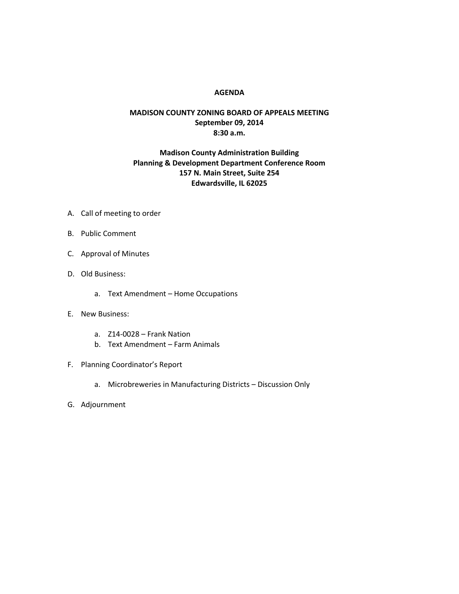## **AGENDA**

## **MADISON COUNTY ZONING BOARD OF APPEALS MEETING September 09, 2014 8:30 a.m.**

## **Madison County Administration Building Planning & Development Department Conference Room 157 N. Main Street, Suite 254 Edwardsville, IL 62025**

- A. Call of meeting to order
- B. Public Comment
- C. Approval of Minutes
- D. Old Business:
	- a. Text Amendment Home Occupations
- E. New Business:
	- a. Z14-0028 Frank Nation
	- b. Text Amendment Farm Animals
- F. Planning Coordinator's Report
	- a. Microbreweries in Manufacturing Districts Discussion Only
- G. Adjournment